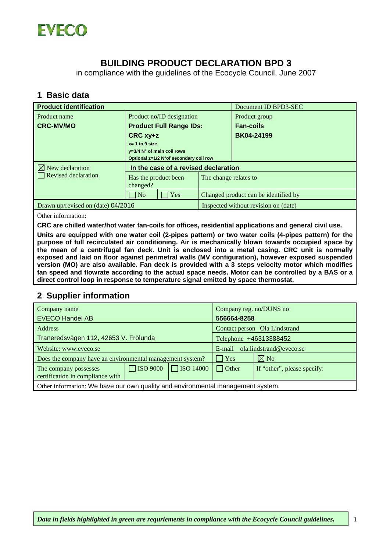

## **BUILDING PRODUCT DECLARATION BPD 3**

in compliance with the guidelines of the Ecocycle Council, June 2007

#### **1 Basic data**

| <b>Product identification</b>      |                                                                                                         |                       | Document ID BPD3-SEC                 |  |
|------------------------------------|---------------------------------------------------------------------------------------------------------|-----------------------|--------------------------------------|--|
| Product name                       | Product no/ID designation                                                                               |                       | Product group                        |  |
| <b>CRC-MV/MO</b>                   | <b>Product Full Range IDs:</b>                                                                          |                       | <b>Fan-coils</b>                     |  |
|                                    | CRC xy+z<br>$x = 1$ to 9 size<br>$y=3/4$ N° of main coil rows<br>Optional z=1/2 N°of secondary coil row |                       | <b>BK04-24199</b>                    |  |
|                                    |                                                                                                         |                       |                                      |  |
|                                    |                                                                                                         |                       |                                      |  |
| $\boxtimes$ New declaration        | In the case of a revised declaration                                                                    |                       |                                      |  |
| Revised declaration                | Has the product been<br>changed?                                                                        | The change relates to |                                      |  |
|                                    | Yes<br>$\overline{N_{0}}$                                                                               |                       | Changed product can be identified by |  |
| Drawn up/revised on (date) 04/2016 |                                                                                                         |                       | Inspected without revision on (date) |  |

Other information:

**CRC are chilled water/hot water fan-coils for offices, residential applications and general civil use.** 

**Units are equipped with one water coil (2-pipes pattern) or two water coils (4-pipes pattern) for the purpose of full recirculated air conditioning. Air is mechanically blown towards occupied space by the mean of a centrifugal fan deck. Unit is enclosed into a metal casing. CRC unit is normally exposed and laid on floor against perimetral walls (MV configuration), however exposed suspended version (MO) are also available. Fan deck is provided with a 3 steps velocity motor which modifies fan speed and flowrate according to the actual space needs. Motor can be controlled by a BAS or a direct control loop in response to temperature signal emitted by space thermostat.** 

#### **2 Supplier information**

| Company name                                                                    |                 | Company reg. no/DUNS no |                                |                             |  |  |
|---------------------------------------------------------------------------------|-----------------|-------------------------|--------------------------------|-----------------------------|--|--|
| <b>EVECO Handel AB</b>                                                          |                 | 556664-8258             |                                |                             |  |  |
| Address                                                                         |                 |                         | Contact person Ola Lindstrand  |                             |  |  |
| Traneredsvägen 112, 42653 V. Frölunda                                           |                 |                         | Telephone +46313388452         |                             |  |  |
| Website: www.eveco.se                                                           |                 |                         | E-mail ola.lindstrand@eveco.se |                             |  |  |
| Does the company have an environmental management system?                       |                 |                         | Yes                            | $\boxtimes$ No              |  |  |
| The company possesses<br>certification in compliance with                       | $\Box$ ISO 9000 | $\Box$ ISO 14000        | $\vert$ Other                  | If "other", please specify: |  |  |
| Other information: We have our own quality and environmental management system. |                 |                         |                                |                             |  |  |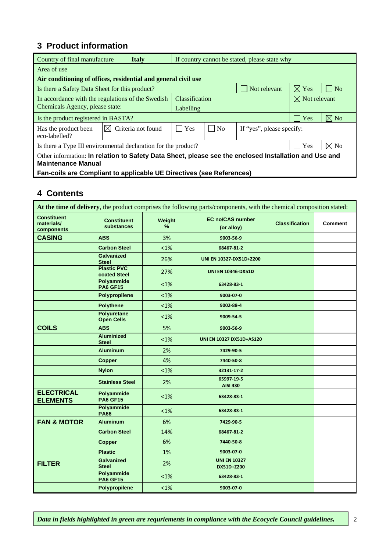### **3 Product information**

|                                                                                                                                    | Country of final manufacture<br>If country cannot be stated, please state why<br><b>Italy</b> |                       |                |                           |                          |                |
|------------------------------------------------------------------------------------------------------------------------------------|-----------------------------------------------------------------------------------------------|-----------------------|----------------|---------------------------|--------------------------|----------------|
| Area of use                                                                                                                        |                                                                                               |                       |                |                           |                          |                |
|                                                                                                                                    | Air conditioning of offices, residential and general civil use                                |                       |                |                           |                          |                |
| Is there a Safety Data Sheet for this product?                                                                                     |                                                                                               |                       |                | Not relevant              | $\boxtimes$ Yes          | $ $ No         |
|                                                                                                                                    | In accordance with the regulations of the Swedish                                             | <b>Classification</b> |                |                           | $\boxtimes$ Not relevant |                |
| Chemicals Agency, please state:                                                                                                    |                                                                                               | Labelling             |                |                           |                          |                |
| Is the product registered in BASTA?                                                                                                |                                                                                               |                       |                |                           | Yes                      | $\boxtimes$ No |
| Has the product been<br>eco-labelled?                                                                                              | Criteria not found<br>IXL                                                                     | Yes                   | N <sub>0</sub> | If "yes", please specify: |                          |                |
| $\boxtimes$ No<br>Yes<br>Is there a Type III environmental declaration for the product?                                            |                                                                                               |                       |                |                           |                          |                |
| Other information: In relation to Safety Data Sheet, please see the enclosed Installation and Use and<br><b>Maintenance Manual</b> |                                                                                               |                       |                |                           |                          |                |
|                                                                                                                                    | Fan-coils are Compliant to applicable UE Directives (see References)                          |                       |                |                           |                          |                |

#### **4 Contents**

| At the time of delivery, the product comprises the following parts/components, with the chemical composition stated: |                                         |             |                                       |                       |         |  |  |
|----------------------------------------------------------------------------------------------------------------------|-----------------------------------------|-------------|---------------------------------------|-----------------------|---------|--|--|
| <b>Constituent</b><br>materials/<br>components                                                                       | <b>Constituent</b><br>substances        | Weight<br>% | <b>EC no/CAS number</b><br>(or alloy) | <b>Classification</b> | Comment |  |  |
| <b>CASING</b>                                                                                                        | <b>ABS</b>                              | 3%          | 9003-56-9                             |                       |         |  |  |
|                                                                                                                      | <b>Carbon Steel</b>                     | $<1\%$      | 68467-81-2                            |                       |         |  |  |
|                                                                                                                      | <b>Galvanized</b><br><b>Steel</b>       | 26%         | UNI EN 10327-DX51D+Z200               |                       |         |  |  |
|                                                                                                                      | <b>Plastic PVC</b><br>coated Steel      | 27%         | <b>UNI EN 10346-DX51D</b>             |                       |         |  |  |
|                                                                                                                      | <b>Polyammide</b><br><b>PA6 GF15</b>    | $<1\%$      | 63428-83-1                            |                       |         |  |  |
|                                                                                                                      | Polypropilene                           | $<1\%$      | 9003-07-0                             |                       |         |  |  |
|                                                                                                                      | <b>Polythene</b>                        | $< 1\%$     | 9002-88-4                             |                       |         |  |  |
|                                                                                                                      | <b>Polyuretane</b><br><b>Open Cells</b> | $< 1\%$     | 9009-54-5                             |                       |         |  |  |
| <b>COILS</b>                                                                                                         | <b>ABS</b>                              | 5%          | 9003-56-9                             |                       |         |  |  |
|                                                                                                                      | <b>Aluminized</b><br><b>Steel</b>       | $< 1\%$     | UNI EN 10327 DX51D+AS120              |                       |         |  |  |
|                                                                                                                      | <b>Aluminum</b>                         | 2%          | 7429-90-5                             |                       |         |  |  |
|                                                                                                                      | <b>Copper</b>                           | 4%          | 7440-50-8                             |                       |         |  |  |
|                                                                                                                      | <b>Nylon</b>                            | $<1\%$      | 32131-17-2                            |                       |         |  |  |
|                                                                                                                      | <b>Stainless Steel</b>                  | 2%          | 65997-19-5<br><b>AISI 430</b>         |                       |         |  |  |
| <b>ELECTRICAL</b><br><b>ELEMENTS</b>                                                                                 | Polyammide<br><b>PA6 GF15</b>           | $<1\%$      | 63428-83-1                            |                       |         |  |  |
|                                                                                                                      | Polyammide<br><b>PA66</b>               | $< 1\%$     | 63428-83-1                            |                       |         |  |  |
| <b>FAN &amp; MOTOR</b>                                                                                               | <b>Aluminum</b>                         | 6%          | 7429-90-5                             |                       |         |  |  |
|                                                                                                                      | <b>Carbon Steel</b>                     | 14%         | 68467-81-2                            |                       |         |  |  |
|                                                                                                                      | <b>Copper</b>                           | 6%          | 7440-50-8                             |                       |         |  |  |
|                                                                                                                      | <b>Plastic</b>                          | 1%          | 9003-07-0                             |                       |         |  |  |
| <b>FILTER</b>                                                                                                        | <b>Galvanized</b><br><b>Steel</b>       | 2%          | <b>UNI EN 10327</b><br>DX51D+Z200     |                       |         |  |  |
|                                                                                                                      | <b>Polyammide</b><br><b>PA6 GF15</b>    | $< 1\%$     | 63428-83-1                            |                       |         |  |  |
|                                                                                                                      | Polypropilene                           | $<1\%$      | 9003-07-0                             |                       |         |  |  |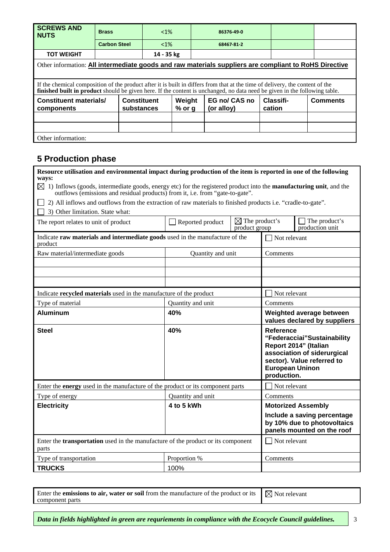| <b>SCREWS AND</b><br><b>NUTS</b>                                                                      | <b>Brass</b>                                                                                                                                                                                                                                                | $< 1\%$    |                             | 86376-49-0                 |                 |  |  |  |
|-------------------------------------------------------------------------------------------------------|-------------------------------------------------------------------------------------------------------------------------------------------------------------------------------------------------------------------------------------------------------------|------------|-----------------------------|----------------------------|-----------------|--|--|--|
|                                                                                                       | <b>Carbon Steel</b>                                                                                                                                                                                                                                         | $< 1\%$    |                             | 68467-81-2                 |                 |  |  |  |
| <b>TOT WEIGHT</b>                                                                                     |                                                                                                                                                                                                                                                             | 14 - 35 kg |                             |                            |                 |  |  |  |
| Other information: All intermediate goods and raw materials suppliers are compliant to RoHS Directive |                                                                                                                                                                                                                                                             |            |                             |                            |                 |  |  |  |
|                                                                                                       | If the chemical composition of the product after it is built in differs from that at the time of delivery, the content of the<br>finished built in product should be given here. If the content is unchanged, no data need be given in the following table. |            |                             |                            |                 |  |  |  |
| components                                                                                            | <b>Constituent materials/</b><br><b>Constituent</b><br>Weight<br>$%$ or g<br>substances                                                                                                                                                                     |            | EG no/ CAS no<br>(or alloy) | <b>Classifi-</b><br>cation | <b>Comments</b> |  |  |  |
|                                                                                                       |                                                                                                                                                                                                                                                             |            |                             |                            |                 |  |  |  |
|                                                                                                       |                                                                                                                                                                                                                                                             |            |                             |                            |                 |  |  |  |
| Other information:                                                                                    |                                                                                                                                                                                                                                                             |            |                             |                            |                 |  |  |  |

### **5 Production phase**

| Resource utilisation and environmental impact during production of the item is reported in one of the following<br>ways:<br>$\boxtimes$<br>1) Inflows (goods, intermediate goods, energy etc) for the registered product into the <b>manufacturing unit</b> , and the<br>outflows (emissions and residual products) from it, i.e. from "gate-to-gate".<br>2) All inflows and outflows from the extraction of raw materials to finished products i.e. "cradle-to-gate". |                   |                                            |                                                           |                                                                                                                   |
|------------------------------------------------------------------------------------------------------------------------------------------------------------------------------------------------------------------------------------------------------------------------------------------------------------------------------------------------------------------------------------------------------------------------------------------------------------------------|-------------------|--------------------------------------------|-----------------------------------------------------------|-------------------------------------------------------------------------------------------------------------------|
| 3) Other limitation. State what:                                                                                                                                                                                                                                                                                                                                                                                                                                       |                   |                                            |                                                           |                                                                                                                   |
| The report relates to unit of product                                                                                                                                                                                                                                                                                                                                                                                                                                  | Reported product  | $\boxtimes$ The product's<br>product group |                                                           | The product's<br>production unit                                                                                  |
| Indicate raw materials and intermediate goods used in the manufacture of the<br>product                                                                                                                                                                                                                                                                                                                                                                                |                   |                                            | Not relevant                                              |                                                                                                                   |
| Raw material/intermediate goods                                                                                                                                                                                                                                                                                                                                                                                                                                        | Quantity and unit |                                            | Comments                                                  |                                                                                                                   |
|                                                                                                                                                                                                                                                                                                                                                                                                                                                                        |                   |                                            |                                                           |                                                                                                                   |
|                                                                                                                                                                                                                                                                                                                                                                                                                                                                        |                   |                                            |                                                           |                                                                                                                   |
|                                                                                                                                                                                                                                                                                                                                                                                                                                                                        |                   |                                            |                                                           |                                                                                                                   |
| Indicate recycled materials used in the manufacture of the product                                                                                                                                                                                                                                                                                                                                                                                                     |                   |                                            | Not relevant                                              |                                                                                                                   |
| Type of material                                                                                                                                                                                                                                                                                                                                                                                                                                                       | Quantity and unit |                                            | Comments                                                  |                                                                                                                   |
| <b>Aluminum</b>                                                                                                                                                                                                                                                                                                                                                                                                                                                        | 40%               |                                            |                                                           | Weighted average between<br>values declared by suppliers                                                          |
| <b>Steel</b>                                                                                                                                                                                                                                                                                                                                                                                                                                                           | 40%               |                                            | <b>Reference</b><br><b>European Uninon</b><br>production. | "Federacciai"Sustainability<br>Report 2014" (Italian<br>association of siderurgical<br>sector). Value referred to |
| Enter the energy used in the manufacture of the product or its component parts                                                                                                                                                                                                                                                                                                                                                                                         |                   |                                            | Not relevant                                              |                                                                                                                   |
| Type of energy                                                                                                                                                                                                                                                                                                                                                                                                                                                         | Quantity and unit |                                            | Comments                                                  |                                                                                                                   |
| <b>Electricity</b>                                                                                                                                                                                                                                                                                                                                                                                                                                                     | 4 to 5 kWh        |                                            |                                                           | <b>Motorized Assembly</b>                                                                                         |
|                                                                                                                                                                                                                                                                                                                                                                                                                                                                        |                   |                                            |                                                           | Include a saving percentage<br>by 10% due to photovoltaics<br>panels mounted on the roof                          |
| Enter the <b>transportation</b> used in the manufacture of the product or its component<br>parts                                                                                                                                                                                                                                                                                                                                                                       |                   |                                            | Not relevant                                              |                                                                                                                   |
| Type of transportation                                                                                                                                                                                                                                                                                                                                                                                                                                                 | Proportion %      |                                            | Comments                                                  |                                                                                                                   |
| <b>TRUCKS</b>                                                                                                                                                                                                                                                                                                                                                                                                                                                          | 100%              |                                            |                                                           |                                                                                                                   |

Enter the **emissions to air, water or soil** from the manufacture of the product or its component parts  $\boxtimes$  Not relevant

*Data in fields highlighted in green are requriements in compliance with the Ecocycle Council guidelines.*  $\vert$  3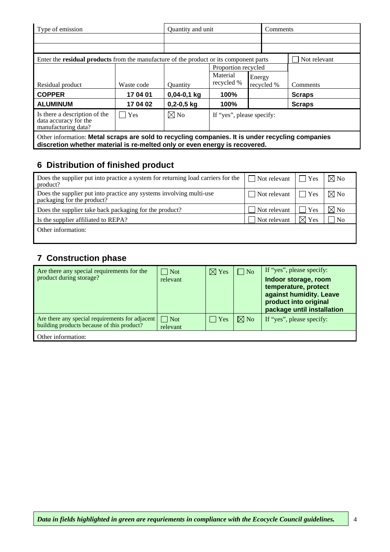| Type of emission                                                                                                                                                               | Quantity and unit |                 |                           | Comments |               |  |  |
|--------------------------------------------------------------------------------------------------------------------------------------------------------------------------------|-------------------|-----------------|---------------------------|----------|---------------|--|--|
|                                                                                                                                                                                |                   |                 |                           |          |               |  |  |
|                                                                                                                                                                                |                   |                 |                           |          |               |  |  |
| Enter the <b>residual products</b> from the manufacture of the product or its component parts                                                                                  |                   |                 |                           |          | Not relevant  |  |  |
|                                                                                                                                                                                |                   |                 | Proportion recycled       |          |               |  |  |
|                                                                                                                                                                                |                   |                 | Material                  | Energy   |               |  |  |
| Residual product                                                                                                                                                               | Waste code        | <b>Ouantity</b> | recycled %<br>recycled %  |          | Comments      |  |  |
| <b>COPPER</b>                                                                                                                                                                  | 17 04 01          | $0,04-0,1$ kg   | 100%                      |          | <b>Scraps</b> |  |  |
| <b>ALUMINUM</b>                                                                                                                                                                | 17 04 02          | $0,2-0,5$ kg    | 100%                      |          | <b>Scraps</b> |  |  |
| Is there a description of the<br>data accuracy for the<br>manufacturing data?                                                                                                  | Yes               | $\boxtimes$ No  | If "yes", please specify: |          |               |  |  |
| Other information: Metal scraps are sold to recycling companies. It is under recycling companies<br>discretion whether material is re-melted only or even energy is recovered. |                   |                 |                           |          |               |  |  |

# **6 Distribution of finished product**

| Does the supplier put into practice a system for returning load carriers for the<br>product?      | $\Box$ Not relevant | <b>Yes</b>      | $\boxtimes$ No |
|---------------------------------------------------------------------------------------------------|---------------------|-----------------|----------------|
| Does the supplier put into practice any systems involving multi-use<br>packaging for the product? | Not relevant        | <b>Yes</b>      | $\boxtimes$ No |
| Does the supplier take back packaging for the product?                                            | Not relevant        | Yes             | $\boxtimes$ No |
| Is the supplier affiliated to REPA?                                                               | Not relevant        | $\boxtimes$ Yes | N <sub>0</sub> |
| Other information:                                                                                |                     |                 |                |

### **7 Construction phase**

| Are there any special requirements for the<br>product during storage?                         | $\vert$ Not<br>relevant | $\boxtimes$ Yes | $\blacksquare$ No | If "yes", please specify:<br>Indoor storage, room<br>temperature, protect<br>against humidity. Leave<br>product into original<br>package until installation |
|-----------------------------------------------------------------------------------------------|-------------------------|-----------------|-------------------|-------------------------------------------------------------------------------------------------------------------------------------------------------------|
| Are there any special requirements for adjacent<br>building products because of this product? | $\Box$ Not<br>relevant  | $ $   Yes       | $\nabla$ No       | If "yes", please specify:                                                                                                                                   |
| Other information:                                                                            |                         |                 |                   |                                                                                                                                                             |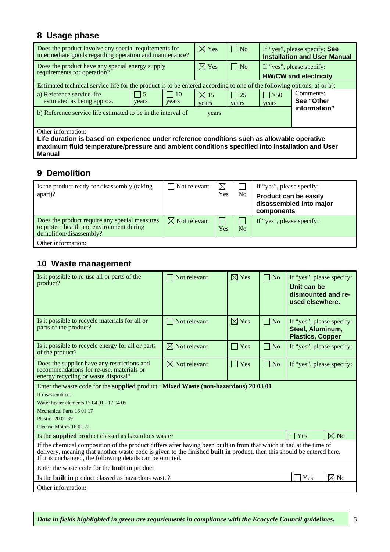# **8 Usage phase**

| Does the product involve any special requirements for<br>intermediate goods regarding operation and maintenance?                                                                                                    |                     |                     | $\boxtimes$ Yes         | $\Box$ No          | If "yes", please specify: See<br><b>Installation and User Manual</b> |                         |
|---------------------------------------------------------------------------------------------------------------------------------------------------------------------------------------------------------------------|---------------------|---------------------|-------------------------|--------------------|----------------------------------------------------------------------|-------------------------|
| Does the product have any special energy supply<br>requirements for operation?                                                                                                                                      |                     |                     | $\boxtimes$ Yes         | $\Box$ No          | If "yes", please specify:<br><b>HW/CW and electricity</b>            |                         |
| Estimated technical service life for the product is to be entered according to one of the following options, a) or b):                                                                                              |                     |                     |                         |                    |                                                                      |                         |
| a) Reference service life<br>estimated as being approx.                                                                                                                                                             | $\vert$ 15<br>years | $\vert$ 10<br>years | $\boxtimes$ 15<br>years | $\Box$ 25<br>years | $\Box$ >50<br>years                                                  | Comments:<br>See "Other |
| information"<br>b) Reference service life estimated to be in the interval of<br>years                                                                                                                               |                     |                     |                         |                    |                                                                      |                         |
| Other information:<br>Life duration is based on experience under reference conditions such as allowable operative<br>maximum fluid temperature/pressure and ambient conditions specified into Installation and User |                     |                     |                         |                    |                                                                      |                         |

**Manual**

### **9 Demolition**

| Is the product ready for disassembly (taking<br>apart)?                                                              | $\Box$ Not relevant      | $\boxtimes$<br>Yes | N <sub>o</sub> | If "yes", please specify:<br><b>Product can be easily</b><br>disassembled into major<br>components |
|----------------------------------------------------------------------------------------------------------------------|--------------------------|--------------------|----------------|----------------------------------------------------------------------------------------------------|
| Does the product require any special measures<br>to protect health and environment during<br>demolition/disassembly? | $\boxtimes$ Not relevant | Yes                | N <sub>o</sub> | If "yes", please specify:                                                                          |
| Other information:                                                                                                   |                          |                    |                |                                                                                                    |

### **10 Waste management**

| Is it possible to re-use all or parts of the<br>product?                                                                                                                                                                                                                                                   | $\Box$ Not relevant      | $\boxtimes$ Yes     | $\Box$ No  | If "yes", please specify:<br>Unit can be<br>dismounted and re-<br>used elsewhere. |  |  |
|------------------------------------------------------------------------------------------------------------------------------------------------------------------------------------------------------------------------------------------------------------------------------------------------------------|--------------------------|---------------------|------------|-----------------------------------------------------------------------------------|--|--|
| Is it possible to recycle materials for all or<br>parts of the product?                                                                                                                                                                                                                                    | Not relevant<br>I.       | $\boxtimes$ Yes     | $\vert$ No | If "yes", please specify:<br>Steel, Aluminum,<br><b>Plastics, Copper</b>          |  |  |
| Is it possible to recycle energy for all or parts<br>of the product?                                                                                                                                                                                                                                       | $\boxtimes$ Not relevant | $\Box$ Yes          | $\vert$ No | If "yes", please specify:                                                         |  |  |
| Does the supplier have any restrictions and<br>recommendations for re-use, materials or<br>energy recycling or waste disposal?                                                                                                                                                                             | $\boxtimes$ Not relevant | Yes<br>$\mathsf{L}$ | $\Box$ No  | If "yes", please specify:                                                         |  |  |
| Enter the waste code for the <b>supplied</b> product : <b>Mixed Waste (non-hazardous) 20 03 01</b>                                                                                                                                                                                                         |                          |                     |            |                                                                                   |  |  |
| If disassembled:                                                                                                                                                                                                                                                                                           |                          |                     |            |                                                                                   |  |  |
| Water heater elements 17 04 01 - 17 04 05                                                                                                                                                                                                                                                                  |                          |                     |            |                                                                                   |  |  |
| Mechanical Parts 16 01 17                                                                                                                                                                                                                                                                                  |                          |                     |            |                                                                                   |  |  |
| Plastic 20 01 39                                                                                                                                                                                                                                                                                           |                          |                     |            |                                                                                   |  |  |
| Electric Motors 16 01 22                                                                                                                                                                                                                                                                                   |                          |                     |            |                                                                                   |  |  |
| Is the supplied product classed as hazardous waste?                                                                                                                                                                                                                                                        |                          |                     |            | $\boxtimes$ No<br>Yes                                                             |  |  |
| If the chemical composition of the product differs after having been built in from that which it had at the time of<br>delivery, meaning that another waste code is given to the finished built in product, then this should be entered here.<br>If it is unchanged, the following details can be omitted. |                          |                     |            |                                                                                   |  |  |
| Enter the waste code for the <b>built in</b> product                                                                                                                                                                                                                                                       |                          |                     |            |                                                                                   |  |  |
| Is the <b>built in</b> product classed as hazardous waste?                                                                                                                                                                                                                                                 |                          |                     |            | $\boxtimes$ No<br>Yes                                                             |  |  |
| Other information:                                                                                                                                                                                                                                                                                         |                          |                     |            |                                                                                   |  |  |